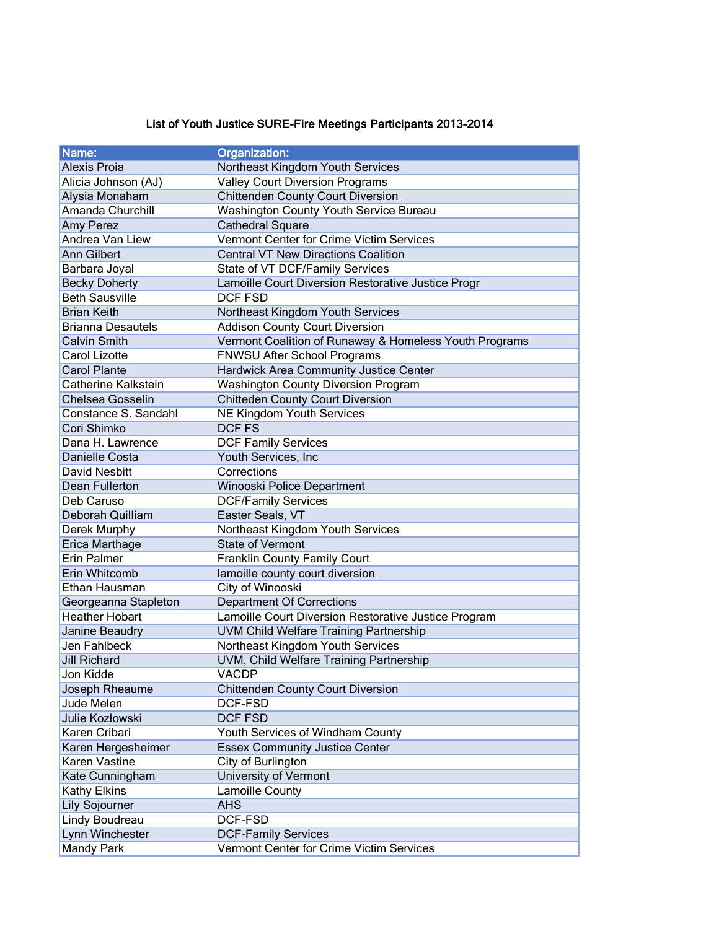## List of Youth Justice SURE-Fire Meetings Participants 2013-2014

| Name:                    | <b>Organization:</b>                                   |
|--------------------------|--------------------------------------------------------|
| <b>Alexis Proia</b>      | Northeast Kingdom Youth Services                       |
| Alicia Johnson (AJ)      | <b>Valley Court Diversion Programs</b>                 |
| Alysia Monaham           | <b>Chittenden County Court Diversion</b>               |
| Amanda Churchill         | Washington County Youth Service Bureau                 |
| Amy Perez                | <b>Cathedral Square</b>                                |
| Andrea Van Liew          | Vermont Center for Crime Victim Services               |
| Ann Gilbert              | <b>Central VT New Directions Coalition</b>             |
| Barbara Joyal            | State of VT DCF/Family Services                        |
| <b>Becky Doherty</b>     | Lamoille Court Diversion Restorative Justice Progr     |
| <b>Beth Sausville</b>    | <b>DCF FSD</b>                                         |
| <b>Brian Keith</b>       | Northeast Kingdom Youth Services                       |
| <b>Brianna Desautels</b> | <b>Addison County Court Diversion</b>                  |
| <b>Calvin Smith</b>      | Vermont Coalition of Runaway & Homeless Youth Programs |
| Carol Lizotte            | FNWSU After School Programs                            |
| <b>Carol Plante</b>      | Hardwick Area Community Justice Center                 |
| Catherine Kalkstein      | <b>Washington County Diversion Program</b>             |
| <b>Chelsea Gosselin</b>  | <b>Chitteden County Court Diversion</b>                |
| Constance S. Sandahl     | <b>NE Kingdom Youth Services</b>                       |
| Cori Shimko              | <b>DCFFS</b>                                           |
| Dana H. Lawrence         | <b>DCF Family Services</b>                             |
| Danielle Costa           | Youth Services, Inc                                    |
| David Nesbitt            | Corrections                                            |
| Dean Fullerton           | Winooski Police Department                             |
| Deb Caruso               | <b>DCF/Family Services</b>                             |
| Deborah Quilliam         | Easter Seals, VT                                       |
| Derek Murphy             | Northeast Kingdom Youth Services                       |
| Erica Marthage           | <b>State of Vermont</b>                                |
| Erin Palmer              | Franklin County Family Court                           |
| Erin Whitcomb            | lamoille county court diversion                        |
| Ethan Hausman            | City of Winooski                                       |
| Georgeanna Stapleton     | <b>Department Of Corrections</b>                       |
| <b>Heather Hobart</b>    | Lamoille Court Diversion Restorative Justice Program   |
| Janine Beaudry           | <b>UVM Child Welfare Training Partnership</b>          |
| Jen Fahlbeck             | Northeast Kingdom Youth Services                       |
| <b>Jill Richard</b>      | UVM, Child Welfare Training Partnership                |
| Jon Kidde                | VACDP                                                  |
| Joseph Rheaume           | <b>Chittenden County Court Diversion</b>               |
| Jude Melen               | DCF-FSD                                                |
| Julie Kozlowski          | DCF FSD                                                |
| Karen Cribari            | Youth Services of Windham County                       |
| Karen Hergesheimer       | <b>Essex Community Justice Center</b>                  |
| Karen Vastine            | City of Burlington                                     |
| Kate Cunningham          | University of Vermont                                  |
| Kathy Elkins             | Lamoille County                                        |
| <b>Lily Sojourner</b>    | <b>AHS</b>                                             |
| Lindy Boudreau           | DCF-FSD                                                |
| Lynn Winchester          | <b>DCF-Family Services</b>                             |
| <b>Mandy Park</b>        | Vermont Center for Crime Victim Services               |